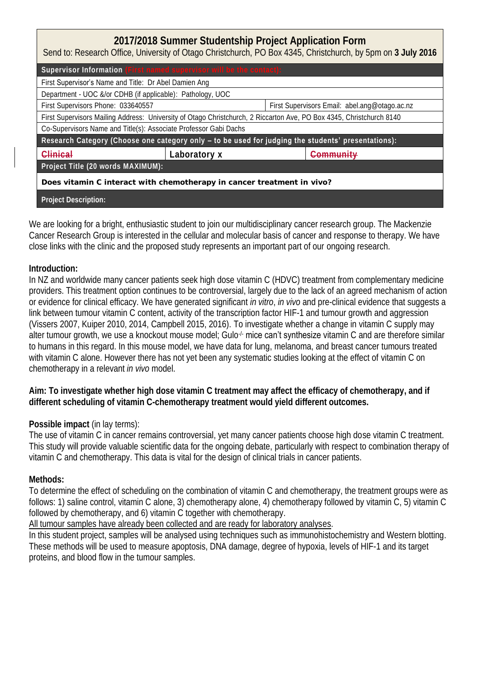## **2017/2018 Summer Studentship Project Application Form**

Send to: Research Office, University of Otago Christchurch, PO Box 4345, Christchurch, by 5pm on **3 July 2016**

| Supervisor Information (First named supervisor will be the contact):                                                 |              |                                               |                      |  |  |
|----------------------------------------------------------------------------------------------------------------------|--------------|-----------------------------------------------|----------------------|--|--|
| First Supervisor's Name and Title: Dr Abel Damien Ang                                                                |              |                                               |                      |  |  |
| Department - UOC &/or CDHB (if applicable): Pathology, UOC                                                           |              |                                               |                      |  |  |
| First Supervisors Phone: 033640557                                                                                   |              | First Supervisors Email: abel.ang@otago.ac.nz |                      |  |  |
| First Supervisors Mailing Address: University of Otago Christchurch, 2 Riccarton Ave, PO Box 4345, Christchurch 8140 |              |                                               |                      |  |  |
| Co-Supervisors Name and Title(s): Associate Professor Gabi Dachs                                                     |              |                                               |                      |  |  |
| Research Category (Choose one category only - to be used for judging the students' presentations):                   |              |                                               |                      |  |  |
| Clinical                                                                                                             | Laboratory x |                                               | <del>Community</del> |  |  |
| Project Title (20 words MAXIMUM):                                                                                    |              |                                               |                      |  |  |
| Does vitamin C interact with chemotherapy in cancer treatment in vivo?                                               |              |                                               |                      |  |  |
| Project Description:                                                                                                 |              |                                               |                      |  |  |

We are looking for a bright, enthusiastic student to join our multidisciplinary cancer research group. The Mackenzie Cancer Research Group is interested in the cellular and molecular basis of cancer and response to therapy. We have close links with the clinic and the proposed study represents an important part of our ongoing research.

## **Introduction:**

In NZ and worldwide many cancer patients seek high dose vitamin C (HDVC) treatment from complementary medicine providers. This treatment option continues to be controversial, largely due to the lack of an agreed mechanism of action or evidence for clinical efficacy. We have generated significant *in vitro*, *in vivo* and pre-clinical evidence that suggests a link between tumour vitamin C content, activity of the transcription factor HIF-1 and tumour growth and aggression (Vissers 2007, Kuiper 2010, 2014, Campbell 2015, 2016). To investigate whether a change in vitamin C supply may alter tumour growth, we use a knockout mouse model; Gulo<sup>-/-</sup> mice can't synthesize vitamin C and are therefore similar to humans in this regard. In this mouse model, we have data for lung, melanoma, and breast cancer tumours treated with vitamin C alone. However there has not yet been any systematic studies looking at the effect of vitamin C on chemotherapy in a relevant *in vivo* model.

**Aim: To investigate whether high dose vitamin C treatment may affect the efficacy of chemotherapy, and if different scheduling of vitamin C-chemotherapy treatment would yield different outcomes.** 

## **Possible impact** (in lay terms):

The use of vitamin C in cancer remains controversial, yet many cancer patients choose high dose vitamin C treatment. This study will provide valuable scientific data for the ongoing debate, particularly with respect to combination therapy of vitamin C and chemotherapy. This data is vital for the design of clinical trials in cancer patients.

## **Methods:**

To determine the effect of scheduling on the combination of vitamin C and chemotherapy, the treatment groups were as follows: 1) saline control, vitamin C alone, 3) chemotherapy alone, 4) chemotherapy followed by vitamin C, 5) vitamin C followed by chemotherapy, and 6) vitamin C together with chemotherapy.

All tumour samples have already been collected and are ready for laboratory analyses.

In this student project, samples will be analysed using techniques such as immunohistochemistry and Western blotting. These methods will be used to measure apoptosis, DNA damage, degree of hypoxia, levels of HIF-1 and its target proteins, and blood flow in the tumour samples.